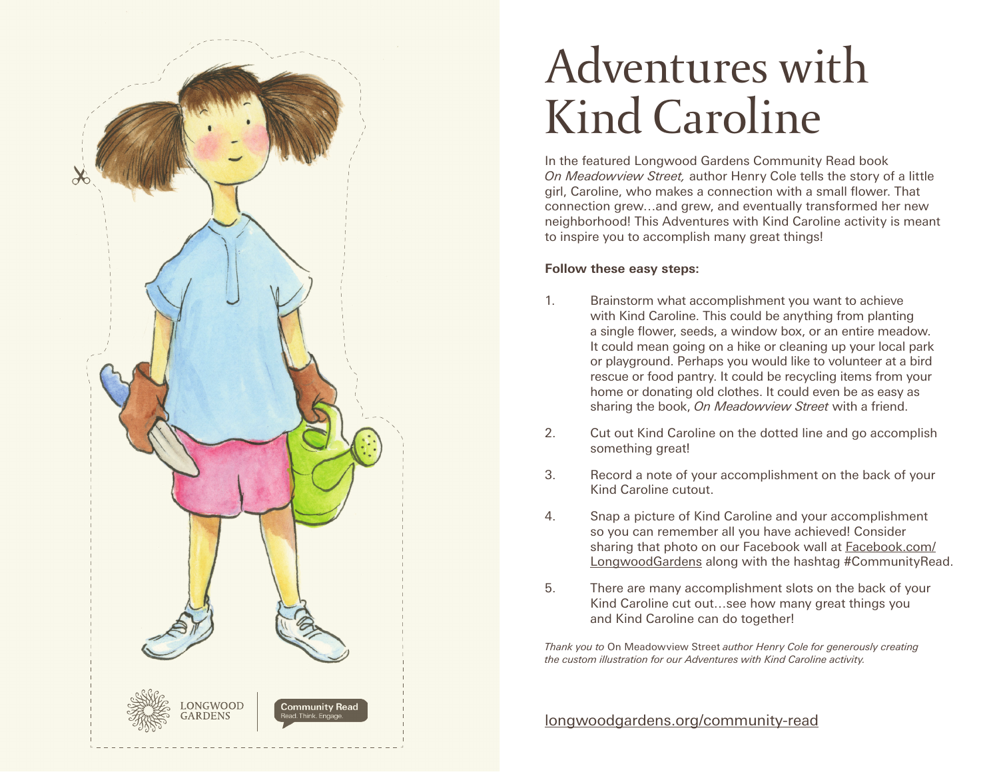

## Adventures with Kind Caroline

In the featured Longwood Gardens Community Read book *On Meadowview Street,* author Henry Cole tells the story of a little girl, Caroline, who makes a connection with a small flower. That connection grew…and grew, and eventually transformed her new neighborhood! This Adventures with Kind Caroline activity is meant to inspire you to accomplish many great things!

## **Follow these easy steps:**

- 1. Brainstorm what accomplishment you want to achieve with Kind Caroline. This could be anything from planting a single flower, seeds, a window box, or an entire meadow. It could mean going on a hike or cleaning up your local park or playground. Perhaps you would like to volunteer at a bird rescue or food pantry. It could be recycling items from your home or donating old clothes. It could even be as easy as sharing the book, *On Meadowview Street* with a friend.
- 2. Cut out Kind Caroline on the dotted line and go accomplish something great!
- 3. Record a note of your accomplishment on the back of your Kind Caroline cutout.
- 4. Snap a picture of Kind Caroline and your accomplishment so you can remember all you have achieved! Consider sharing that photo on our Facebook wall at Facebook.com/ LongwoodGardens along with the hashtag #CommunityRead.
- 5. There are many accomplishment slots on the back of your Kind Caroline cut out…see how many great things you and Kind Caroline can do together!

*Thank you to* On Meadowview Street *author Henry Cole for generously creating the custom illustration for our Adventures with Kind Caroline activity.* 

longwoodgardens.org/community-read